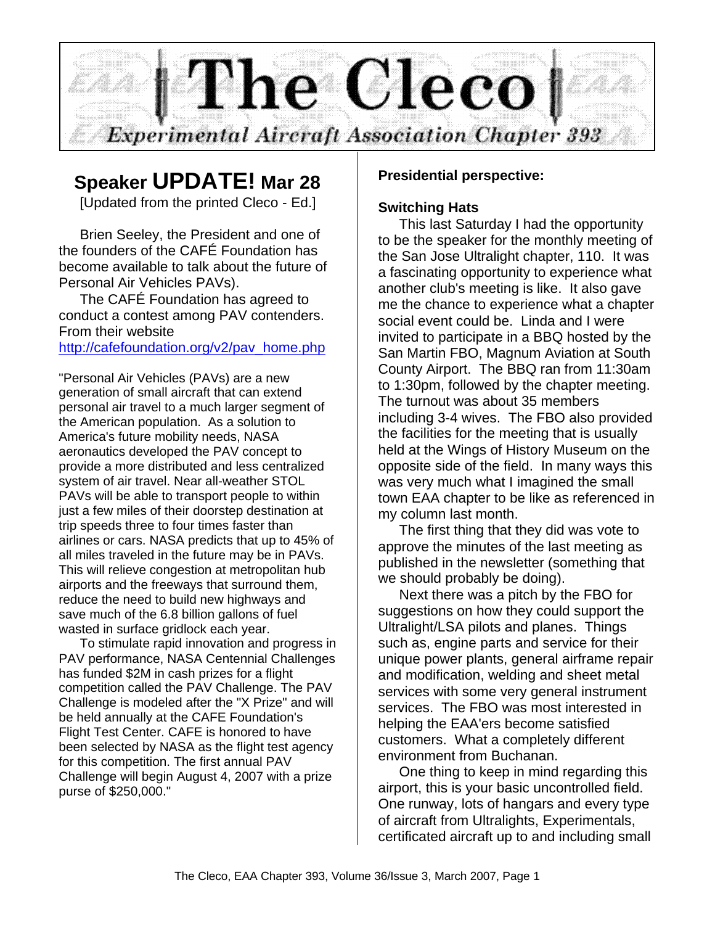

# **Speaker UPDATE! Mar 28**

[Updated from the printed Cleco - Ed.]

Brien Seeley, the President and one of the founders of the CAFÉ Foundation has become available to talk about the future of Personal Air Vehicles PAVs).

The CAFÉ Foundation has agreed to conduct a contest among PAV contenders. From their website

#### http://cafefoundation.org/v2/pav\_home.php

"Personal Air Vehicles (PAVs) are a new generation of small aircraft that can extend personal air travel to a much larger segment of the American population. As a solution to America's future mobility needs, NASA aeronautics developed the PAV concept to provide a more distributed and less centralized system of air travel. Near all-weather STOL PAVs will be able to transport people to within just a few miles of their doorstep destination at trip speeds three to four times faster than airlines or cars. NASA predicts that up to 45% of all miles traveled in the future may be in PAVs. This will relieve congestion at metropolitan hub airports and the freeways that surround them, reduce the need to build new highways and save much of the 6.8 billion gallons of fuel wasted in surface gridlock each year.

To stimulate rapid innovation and progress in PAV performance, NASA Centennial Challenges has funded \$2M in cash prizes for a flight competition called the PAV Challenge. The PAV Challenge is modeled after the "X Prize" and will be held annually at the CAFE Foundation's Flight Test Center. CAFE is honored to have been selected by NASA as the flight test agency for this competition. The first annual PAV Challenge will begin August 4, 2007 with a prize purse of \$250,000."

#### **Presidential perspective:**

#### **Switching Hats**

This last Saturday I had the opportunity to be the speaker for the monthly meeting of the San Jose Ultralight chapter, 110. It was a fascinating opportunity to experience what another club's meeting is like. It also gave me the chance to experience what a chapter social event could be. Linda and I were invited to participate in a BBQ hosted by the San Martin FBO, Magnum Aviation at South County Airport. The BBQ ran from 11:30am to 1:30pm, followed by the chapter meeting. The turnout was about 35 members including 3-4 wives. The FBO also provided the facilities for the meeting that is usually held at the Wings of History Museum on the opposite side of the field. In many ways this was very much what I imagined the small town EAA chapter to be like as referenced in my column last month.

The first thing that they did was vote to approve the minutes of the last meeting as published in the newsletter (something that we should probably be doing).

Next there was a pitch by the FBO for suggestions on how they could support the Ultralight/LSA pilots and planes. Things such as, engine parts and service for their unique power plants, general airframe repair and modification, welding and sheet metal services with some very general instrument services. The FBO was most interested in helping the EAA'ers become satisfied customers. What a completely different environment from Buchanan.

One thing to keep in mind regarding this airport, this is your basic uncontrolled field. One runway, lots of hangars and every type of aircraft from Ultralights, Experimentals, certificated aircraft up to and including small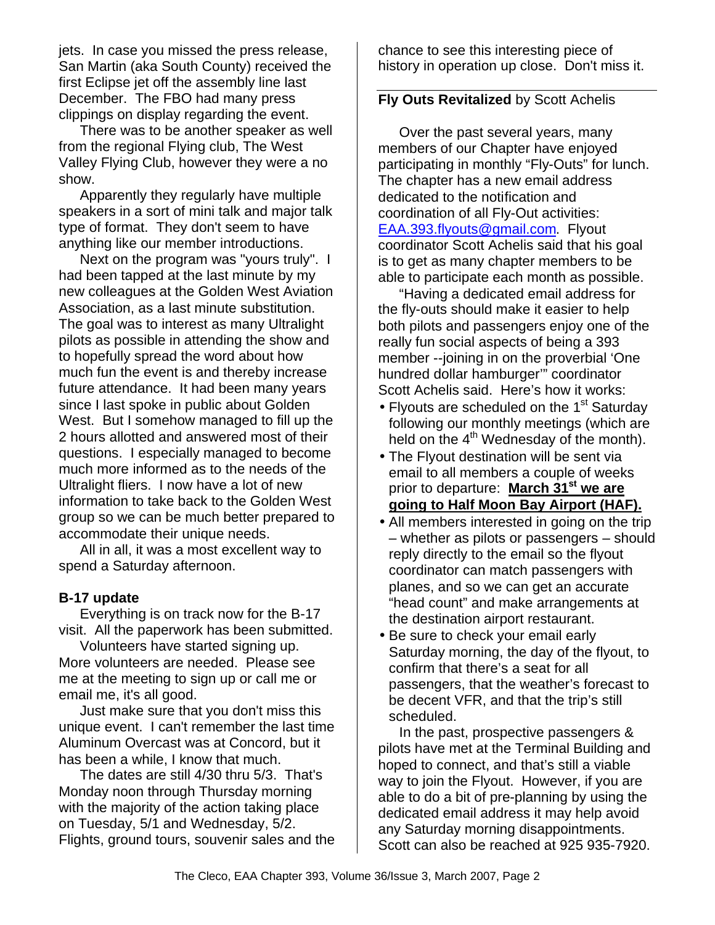jets. In case you missed the press release, San Martin (aka South County) received the first Eclipse jet off the assembly line last December. The FBO had many press clippings on display regarding the event.

There was to be another speaker as well from the regional Flying club, The West Valley Flying Club, however they were a no show.

Apparently they regularly have multiple speakers in a sort of mini talk and major talk type of format. They don't seem to have anything like our member introductions.

Next on the program was "yours truly". I had been tapped at the last minute by my new colleagues at the Golden West Aviation Association, as a last minute substitution. The goal was to interest as many Ultralight pilots as possible in attending the show and to hopefully spread the word about how much fun the event is and thereby increase future attendance. It had been many years since I last spoke in public about Golden West. But I somehow managed to fill up the 2 hours allotted and answered most of their questions. I especially managed to become much more informed as to the needs of the Ultralight fliers. I now have a lot of new information to take back to the Golden West group so we can be much better prepared to accommodate their unique needs.

All in all, it was a most excellent way to spend a Saturday afternoon.

#### **B-17 update**

Everything is on track now for the B-17 visit. All the paperwork has been submitted.

Volunteers have started signing up. More volunteers are needed. Please see me at the meeting to sign up or call me or email me, it's all good.

Just make sure that you don't miss this unique event. I can't remember the last time Aluminum Overcast was at Concord, but it has been a while, I know that much.

The dates are still 4/30 thru 5/3. That's Monday noon through Thursday morning with the majority of the action taking place on Tuesday, 5/1 and Wednesday, 5/2. Flights, ground tours, souvenir sales and the chance to see this interesting piece of history in operation up close. Don't miss it.

#### **Fly Outs Revitalized** by Scott Achelis

Over the past several years, many members of our Chapter have enjoyed participating in monthly "Fly-Outs" for lunch. The chapter has a new email address dedicated to the notification and coordination of all Fly-Out activities: EAA.393.flyouts@gmail.com. Flyout coordinator Scott Achelis said that his goal is to get as many chapter members to be able to participate each month as possible.

"Having a dedicated email address for the fly-outs should make it easier to help both pilots and passengers enjoy one of the really fun social aspects of being a 393 member --joining in on the proverbial 'One hundred dollar hamburger'" coordinator Scott Achelis said. Here's how it works:

- Flyouts are scheduled on the 1<sup>st</sup> Saturday following our monthly meetings (which are held on the  $4<sup>th</sup>$  Wednesday of the month).
- The Flyout destination will be sent via email to all members a couple of weeks prior to departure: **March 31st we are going to Half Moon Bay Airport (HAF).**
- All members interested in going on the trip – whether as pilots or passengers – should reply directly to the email so the flyout coordinator can match passengers with planes, and so we can get an accurate "head count" and make arrangements at the destination airport restaurant.
- Be sure to check your email early Saturday morning, the day of the flyout, to confirm that there's a seat for all passengers, that the weather's forecast to be decent VFR, and that the trip's still scheduled.

In the past, prospective passengers & pilots have met at the Terminal Building and hoped to connect, and that's still a viable way to join the Flyout. However, if you are able to do a bit of pre-planning by using the dedicated email address it may help avoid any Saturday morning disappointments. Scott can also be reached at 925 935-7920.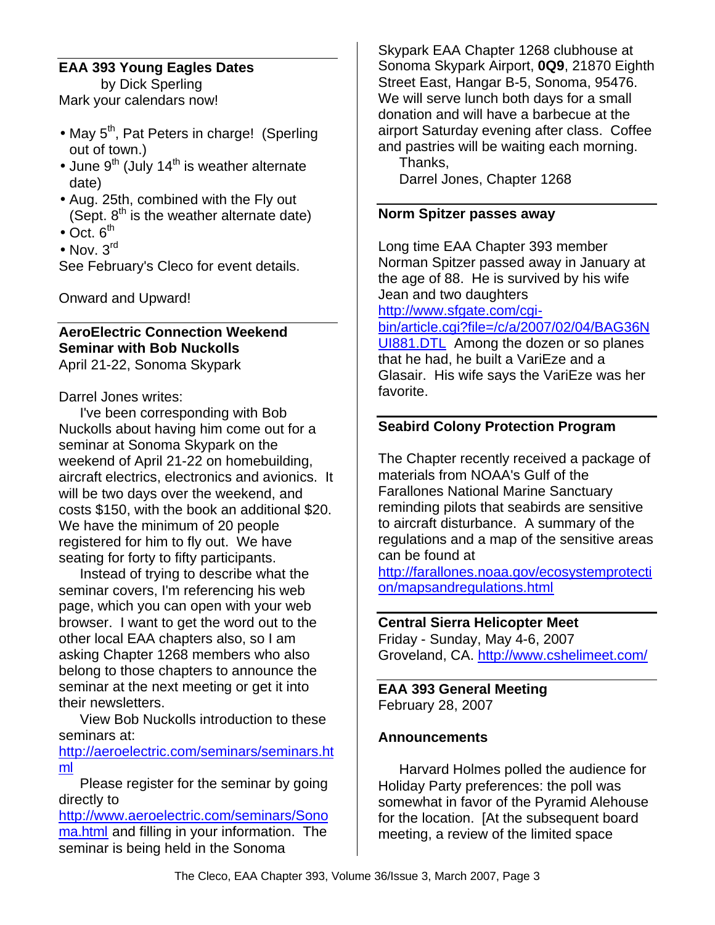# **EAA 393 Young Eagles Dates**

by Dick Sperling Mark your calendars now!

- May  $5<sup>th</sup>$ , Pat Peters in charge! (Sperling out of town.)
- June  $9<sup>th</sup>$  (July 14<sup>th</sup> is weather alternate date)
- Aug. 25th, combined with the Fly out (Sept.  $8<sup>th</sup>$  is the weather alternate date)
- $\bullet$  Oct.  $6^{th}$
- Nov.  $3^{\text{rd}}$

See February's Cleco for event details.

Onward and Upward!

# **AeroElectric Connection Weekend Seminar with Bob Nuckolls**

April 21-22, Sonoma Skypark

Darrel Jones writes:

I've been corresponding with Bob Nuckolls about having him come out for a seminar at Sonoma Skypark on the weekend of April 21-22 on homebuilding, aircraft electrics, electronics and avionics. It will be two days over the weekend, and costs \$150, with the book an additional \$20. We have the minimum of 20 people registered for him to fly out. We have seating for forty to fifty participants.

Instead of trying to describe what the seminar covers, I'm referencing his web page, which you can open with your web browser. I want to get the word out to the other local EAA chapters also, so I am asking Chapter 1268 members who also belong to those chapters to announce the seminar at the next meeting or get it into their newsletters.

View Bob Nuckolls introduction to these seminars at:

http://aeroelectric.com/seminars/seminars.ht ml

Please register for the seminar by going directly to

http://www.aeroelectric.com/seminars/Sono ma.html and filling in your information. The seminar is being held in the Sonoma

Skypark EAA Chapter 1268 clubhouse at Sonoma Skypark Airport, **0Q9**, 21870 Eighth Street East, Hangar B-5, Sonoma, 95476. We will serve lunch both days for a small donation and will have a barbecue at the airport Saturday evening after class. Coffee and pastries will be waiting each morning. Thanks,

Darrel Jones, Chapter 1268

#### **Norm Spitzer passes away**

Long time EAA Chapter 393 member Norman Spitzer passed away in January at the age of 88. He is survived by his wife Jean and two daughters http://www.sfgate.com/cgi-

bin/article.cgi?file=/c/a/2007/02/04/BAG36N UI881.DTL Among the dozen or so planes that he had, he built a VariEze and a Glasair. His wife says the VariEze was her favorite.

# **Seabird Colony Protection Program**

The Chapter recently received a package of materials from NOAA's Gulf of the Farallones National Marine Sanctuary reminding pilots that seabirds are sensitive to aircraft disturbance. A summary of the regulations and a map of the sensitive areas can be found at

http://farallones.noaa.gov/ecosystemprotecti on/mapsandregulations.html

# **Central Sierra Helicopter Meet**

Friday - Sunday, May 4-6, 2007 Groveland, CA. http://www.cshelimeet.com/

**EAA 393 General Meeting** February 28, 2007

# **Announcements**

Harvard Holmes polled the audience for Holiday Party preferences: the poll was somewhat in favor of the Pyramid Alehouse for the location. [At the subsequent board meeting, a review of the limited space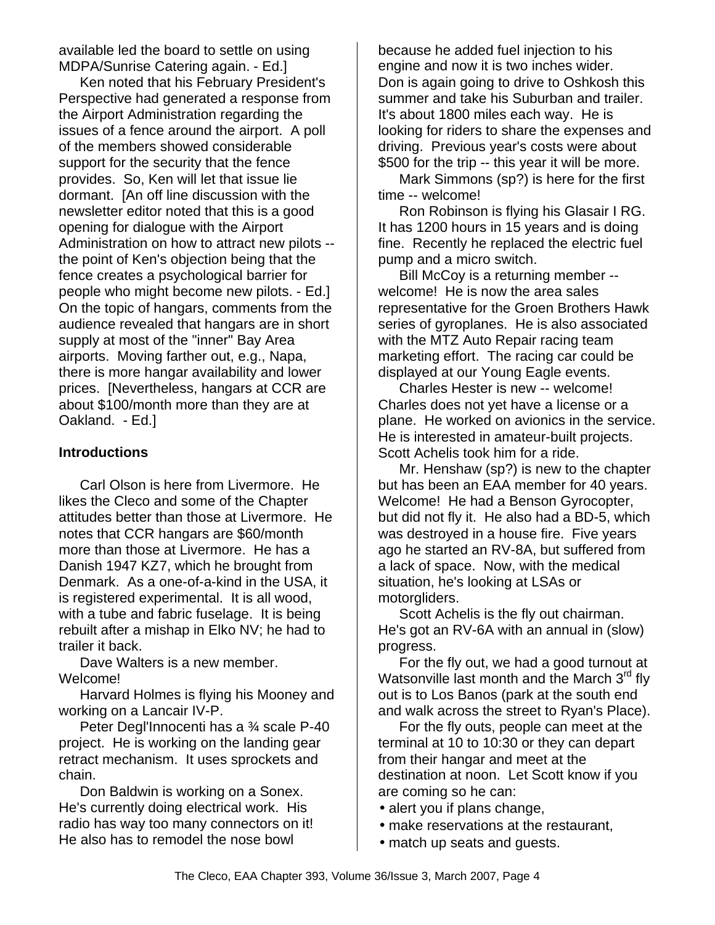available led the board to settle on using MDPA/Sunrise Catering again. - Ed.]

Ken noted that his February President's Perspective had generated a response from the Airport Administration regarding the issues of a fence around the airport. A poll of the members showed considerable support for the security that the fence provides. So, Ken will let that issue lie dormant. [An off line discussion with the newsletter editor noted that this is a good opening for dialogue with the Airport Administration on how to attract new pilots - the point of Ken's objection being that the fence creates a psychological barrier for people who might become new pilots. - Ed.] On the topic of hangars, comments from the audience revealed that hangars are in short supply at most of the "inner" Bay Area airports. Moving farther out, e.g., Napa, there is more hangar availability and lower prices. [Nevertheless, hangars at CCR are about \$100/month more than they are at Oakland. - Ed.]

#### **Introductions**

Carl Olson is here from Livermore. He likes the Cleco and some of the Chapter attitudes better than those at Livermore. He notes that CCR hangars are \$60/month more than those at Livermore. He has a Danish 1947 KZ7, which he brought from Denmark. As a one-of-a-kind in the USA, it is registered experimental. It is all wood, with a tube and fabric fuselage. It is being rebuilt after a mishap in Elko NV; he had to trailer it back.

Dave Walters is a new member. Welcome!

Harvard Holmes is flying his Mooney and working on a Lancair IV-P.

Peter Degl'Innocenti has a ¾ scale P-40 project. He is working on the landing gear retract mechanism. It uses sprockets and chain.

Don Baldwin is working on a Sonex. He's currently doing electrical work. His radio has way too many connectors on it! He also has to remodel the nose bowl

because he added fuel injection to his engine and now it is two inches wider. Don is again going to drive to Oshkosh this summer and take his Suburban and trailer. It's about 1800 miles each way. He is looking for riders to share the expenses and driving. Previous year's costs were about \$500 for the trip -- this year it will be more.

Mark Simmons (sp?) is here for the first time -- welcome!

Ron Robinson is flying his Glasair I RG. It has 1200 hours in 15 years and is doing fine. Recently he replaced the electric fuel pump and a micro switch.

Bill McCoy is a returning member - welcome! He is now the area sales representative for the Groen Brothers Hawk series of gyroplanes. He is also associated with the MTZ Auto Repair racing team marketing effort. The racing car could be displayed at our Young Eagle events.

Charles Hester is new -- welcome! Charles does not yet have a license or a plane. He worked on avionics in the service. He is interested in amateur-built projects. Scott Achelis took him for a ride.

Mr. Henshaw (sp?) is new to the chapter but has been an EAA member for 40 years. Welcome! He had a Benson Gyrocopter, but did not fly it. He also had a BD-5, which was destroyed in a house fire. Five years ago he started an RV-8A, but suffered from a lack of space. Now, with the medical situation, he's looking at LSAs or motorgliders.

Scott Achelis is the fly out chairman. He's got an RV-6A with an annual in (slow) progress.

For the fly out, we had a good turnout at Watsonville last month and the March  $3<sup>rd</sup>$  fly out is to Los Banos (park at the south end and walk across the street to Ryan's Place).

For the fly outs, people can meet at the terminal at 10 to 10:30 or they can depart from their hangar and meet at the destination at noon. Let Scott know if you are coming so he can:

- alert you if plans change,
- make reservations at the restaurant,
- match up seats and guests.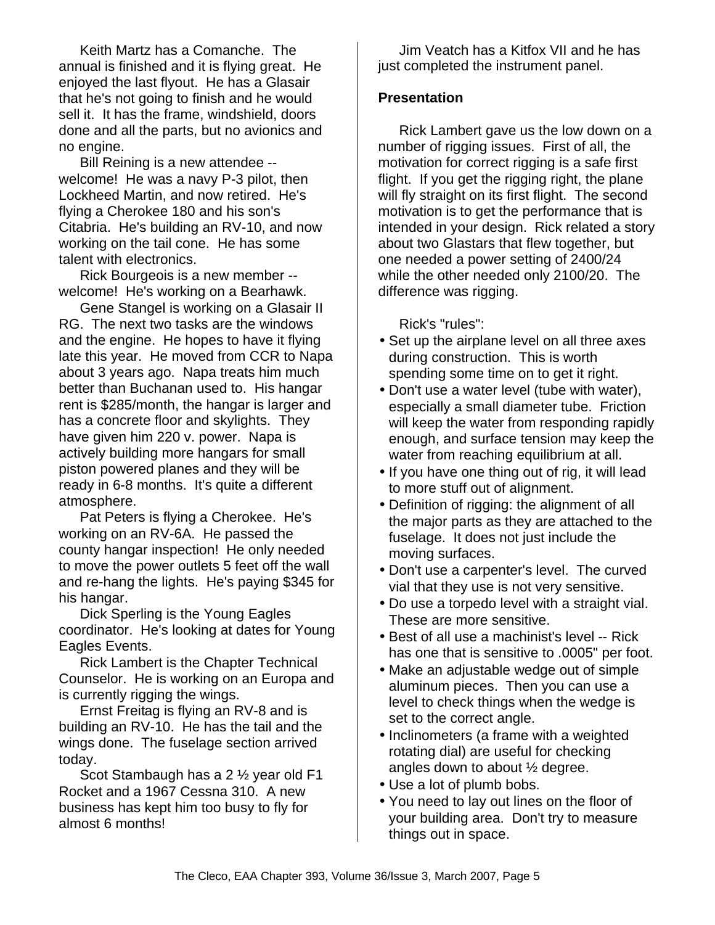Keith Martz has a Comanche. The annual is finished and it is flying great. He enjoyed the last flyout. He has a Glasair that he's not going to finish and he would sell it. It has the frame, windshield, doors done and all the parts, but no avionics and no engine.

Bill Reining is a new attendee - welcome! He was a navy P-3 pilot, then Lockheed Martin, and now retired. He's flying a Cherokee 180 and his son's Citabria. He's building an RV-10, and now working on the tail cone. He has some talent with electronics.

Rick Bourgeois is a new member - welcome! He's working on a Bearhawk.

Gene Stangel is working on a Glasair II RG. The next two tasks are the windows and the engine. He hopes to have it flying late this year. He moved from CCR to Napa about 3 years ago. Napa treats him much better than Buchanan used to. His hangar rent is \$285/month, the hangar is larger and has a concrete floor and skylights. They have given him 220 v. power. Napa is actively building more hangars for small piston powered planes and they will be ready in 6-8 months. It's quite a different atmosphere.

Pat Peters is flying a Cherokee. He's working on an RV-6A. He passed the county hangar inspection! He only needed to move the power outlets 5 feet off the wall and re-hang the lights. He's paying \$345 for his hangar.

Dick Sperling is the Young Eagles coordinator. He's looking at dates for Young Eagles Events.

Rick Lambert is the Chapter Technical Counselor. He is working on an Europa and is currently rigging the wings.

Ernst Freitag is flying an RV-8 and is building an RV-10. He has the tail and the wings done. The fuselage section arrived today.

Scot Stambaugh has a 2 ½ year old F1 Rocket and a 1967 Cessna 310. A new business has kept him too busy to fly for almost 6 months!

Jim Veatch has a Kitfox VII and he has just completed the instrument panel.

#### **Presentation**

Rick Lambert gave us the low down on a number of rigging issues. First of all, the motivation for correct rigging is a safe first flight. If you get the rigging right, the plane will fly straight on its first flight. The second motivation is to get the performance that is intended in your design. Rick related a story about two Glastars that flew together, but one needed a power setting of 2400/24 while the other needed only 2100/20. The difference was rigging.

Rick's "rules":

- Set up the airplane level on all three axes during construction. This is worth spending some time on to get it right.
- Don't use a water level (tube with water), especially a small diameter tube. Friction will keep the water from responding rapidly enough, and surface tension may keep the water from reaching equilibrium at all.
- If you have one thing out of rig, it will lead to more stuff out of alignment.
- Definition of rigging: the alignment of all the major parts as they are attached to the fuselage. It does not just include the moving surfaces.
- Don't use a carpenter's level. The curved vial that they use is not very sensitive.
- Do use a torpedo level with a straight vial. These are more sensitive.
- Best of all use a machinist's level -- Rick has one that is sensitive to .0005" per foot.
- Make an adjustable wedge out of simple aluminum pieces. Then you can use a level to check things when the wedge is set to the correct angle.
- Inclinometers (a frame with a weighted rotating dial) are useful for checking angles down to about ½ degree.
- Use a lot of plumb bobs.
- You need to lay out lines on the floor of your building area. Don't try to measure things out in space.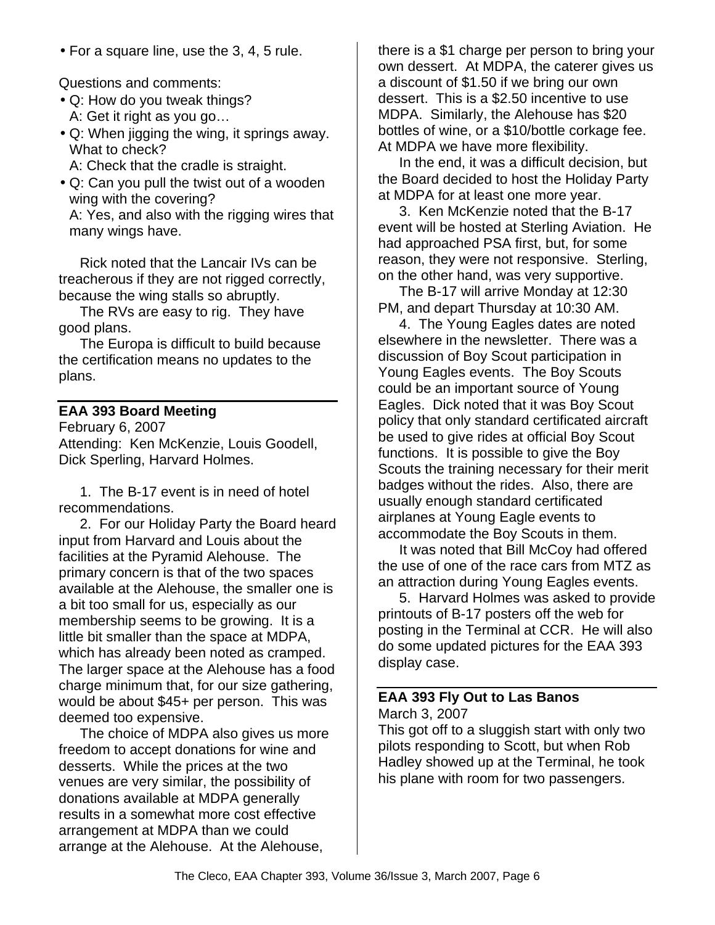• For a square line, use the 3, 4, 5 rule.

Questions and comments:

- Q: How do you tweak things? A: Get it right as you go…
- Q: When jigging the wing, it springs away. What to check?

A: Check that the cradle is straight.

• Q: Can you pull the twist out of a wooden wing with the covering? A: Yes, and also with the rigging wires that many wings have.

Rick noted that the Lancair IVs can be treacherous if they are not rigged correctly, because the wing stalls so abruptly.

The RVs are easy to rig. They have good plans.

The Europa is difficult to build because the certification means no updates to the plans.

### **EAA 393 Board Meeting**

February 6, 2007 Attending: Ken McKenzie, Louis Goodell, Dick Sperling, Harvard Holmes.

1. The B-17 event is in need of hotel recommendations.

2. For our Holiday Party the Board heard input from Harvard and Louis about the facilities at the Pyramid Alehouse. The primary concern is that of the two spaces available at the Alehouse, the smaller one is a bit too small for us, especially as our membership seems to be growing. It is a little bit smaller than the space at MDPA, which has already been noted as cramped. The larger space at the Alehouse has a food charge minimum that, for our size gathering, would be about \$45+ per person. This was deemed too expensive.

The choice of MDPA also gives us more freedom to accept donations for wine and desserts. While the prices at the two venues are very similar, the possibility of donations available at MDPA generally results in a somewhat more cost effective arrangement at MDPA than we could arrange at the Alehouse. At the Alehouse,

there is a \$1 charge per person to bring your own dessert. At MDPA, the caterer gives us a discount of \$1.50 if we bring our own dessert. This is a \$2.50 incentive to use MDPA. Similarly, the Alehouse has \$20 bottles of wine, or a \$10/bottle corkage fee. At MDPA we have more flexibility.

In the end, it was a difficult decision, but the Board decided to host the Holiday Party at MDPA for at least one more year.

3. Ken McKenzie noted that the B-17 event will be hosted at Sterling Aviation. He had approached PSA first, but, for some reason, they were not responsive. Sterling, on the other hand, was very supportive.

The B-17 will arrive Monday at 12:30 PM, and depart Thursday at 10:30 AM.

4. The Young Eagles dates are noted elsewhere in the newsletter. There was a discussion of Boy Scout participation in Young Eagles events. The Boy Scouts could be an important source of Young Eagles. Dick noted that it was Boy Scout policy that only standard certificated aircraft be used to give rides at official Boy Scout functions. It is possible to give the Boy Scouts the training necessary for their merit badges without the rides. Also, there are usually enough standard certificated airplanes at Young Eagle events to accommodate the Boy Scouts in them.

It was noted that Bill McCoy had offered the use of one of the race cars from MTZ as an attraction during Young Eagles events.

5. Harvard Holmes was asked to provide printouts of B-17 posters off the web for posting in the Terminal at CCR. He will also do some updated pictures for the EAA 393 display case.

#### **EAA 393 Fly Out to Las Banos** March 3, 2007

This got off to a sluggish start with only two pilots responding to Scott, but when Rob Hadley showed up at the Terminal, he took his plane with room for two passengers.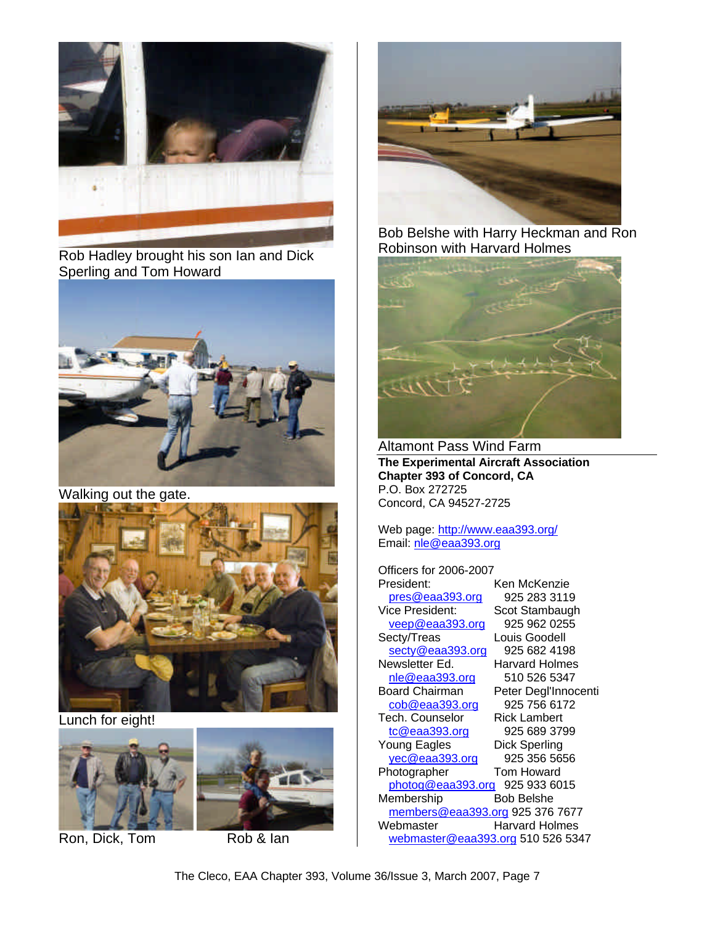

Rob Hadley brought his son Ian and Dick Sperling and Tom Howard



Walking out the gate.



Lunch for eight!



Ron, Dick, Tom Rob & Ian



Bob Belshe with Harry Heckman and Ron Robinson with Harvard Holmes



Altamont Pass Wind Farm **The Experimental Aircraft Association Chapter 393 of Concord, CA** P.O. Box 272725 Concord, CA 94527-2725

Web page: http://www.eaa393.org/ Email: nle@eaa393.org

Officers for 2006-2007 President: Ken McKenzie<br>pres@eaa393.org 925 283 3119 pres@eaa393.org Vice President: Scot Stambaugh<br>
veep@eaa393.org 925 962 0255 veep@eaa393.org<br>Secty/Treas Louis Goodell secty@eaa393.org 925 682 4198 Newsletter Ed. Harvard Holmes nle@eaa393.org 510 526 5347 Board Chairman Peter Degl'Innocenti cob@eaa393.org 925 756 6172 Tech. Counselor Rick Lambert tc@eaa393.org 925 689 3799 Young Eagles Dick Sperling<br>
<u>yec@eaa393.org</u> 925 356 5656 yec@eaa393.org Photographer Tom Howard photog@eaa393.org 925 933 6015 Membership Bob Belshe members@eaa393.org 925 376 7677 Webmaster Harvard Holmes webmaster@eaa393.org 510 526 5347

The Cleco, EAA Chapter 393, Volume 36/Issue 3, March 2007, Page 7